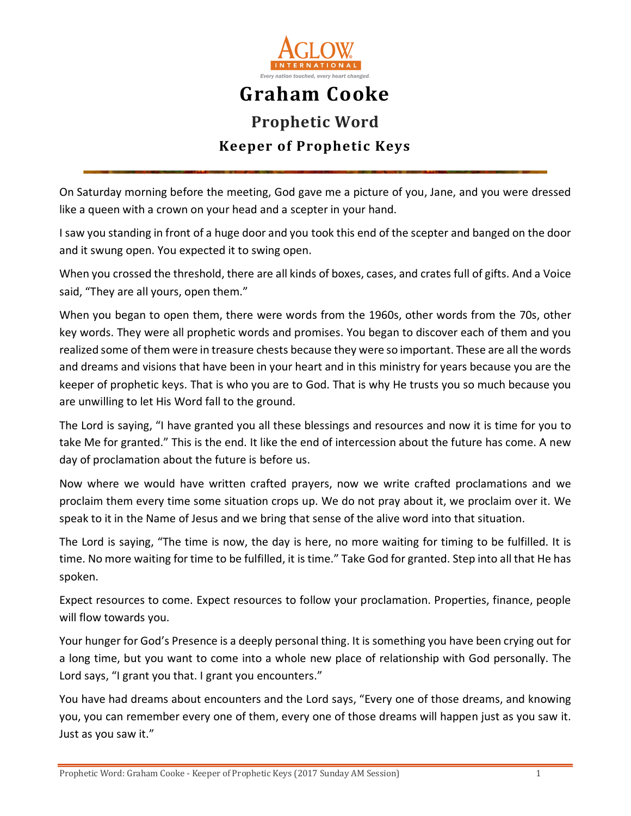

## **Graham Cooke Prophetic Word Keeper of Prophetic Keys**

On Saturday morning before the meeting, God gave me a picture of you, Jane, and you were dressed like a queen with a crown on your head and a scepter in your hand.

I saw you standing in front of a huge door and you took this end of the scepter and banged on the door and it swung open. You expected it to swing open.

When you crossed the threshold, there are all kinds of boxes, cases, and crates full of gifts. And a Voice said, "They are all yours, open them."

When you began to open them, there were words from the 1960s, other words from the 70s, other key words. They were all prophetic words and promises. You began to discover each of them and you realized some of them were in treasure chests because they were so important. These are all the words and dreams and visions that have been in your heart and in this ministry for years because you are the keeper of prophetic keys. That is who you are to God. That is why He trusts you so much because you are unwilling to let His Word fall to the ground.

The Lord is saying, "I have granted you all these blessings and resources and now it is time for you to take Me for granted." This is the end. It like the end of intercession about the future has come. A new day of proclamation about the future is before us.

Now where we would have written crafted prayers, now we write crafted proclamations and we proclaim them every time some situation crops up. We do not pray about it, we proclaim over it. We speak to it in the Name of Jesus and we bring that sense of the alive word into that situation.

The Lord is saying, "The time is now, the day is here, no more waiting for timing to be fulfilled. It is time. No more waiting for time to be fulfilled, it is time." Take God for granted. Step into all that He has spoken.

Expect resources to come. Expect resources to follow your proclamation. Properties, finance, people will flow towards you.

Your hunger for God's Presence is a deeply personal thing. It is something you have been crying out for a long time, but you want to come into a whole new place of relationship with God personally. The Lord says, "I grant you that. I grant you encounters."

You have had dreams about encounters and the Lord says, "Every one of those dreams, and knowing you, you can remember every one of them, every one of those dreams will happen just as you saw it. Just as you saw it."